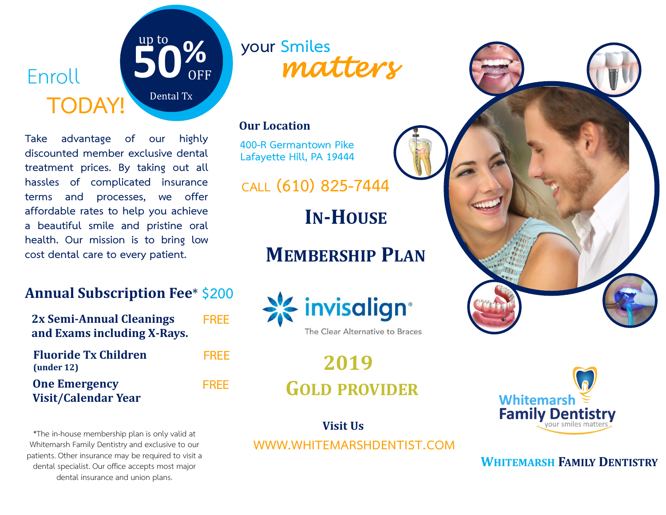Enroll **TODAY!**

up to **50% OFF** Dental Tx

**Take advantage of our highly discounted member exclusive dental treatment prices. By taking out all hassles of complicated insurance terms and processes, we offer affordable rates to help you achieve a beautiful smile and pristine oral health. Our mission is to bring low cost dental care to every patient.**

### **Annual Subscription Fee**\* **\$200**

**2x Semi-Annual Cleanings and Exams including X-Rays. FREE**

**One Emergency Visit/Calendar Year FREE Fluoride Tx Children (under 12) FREE**

\*The in-house membership plan is only valid at Whitemarsh Family Dentistry and exclusive to our patients. Other insurance may be required to visit a dental specialist. Our office accepts most major dental insurance and union plans.

**your Smiles** *matters*

#### **Our Location**

**400-R Germantown Pike Lafayette Hill, PA 19444**

## **CALL (610) 825-7444**

**IN-HOUSE**

# **MEMBERSHIP PLAN**



The Clear Alternative to Braces

**2019 GOLD PROVIDER**



**WWW.WHITEMARSHDENTIST.COM Visit Us**

**WHITEMARSH FAMILY DENTISTRY**